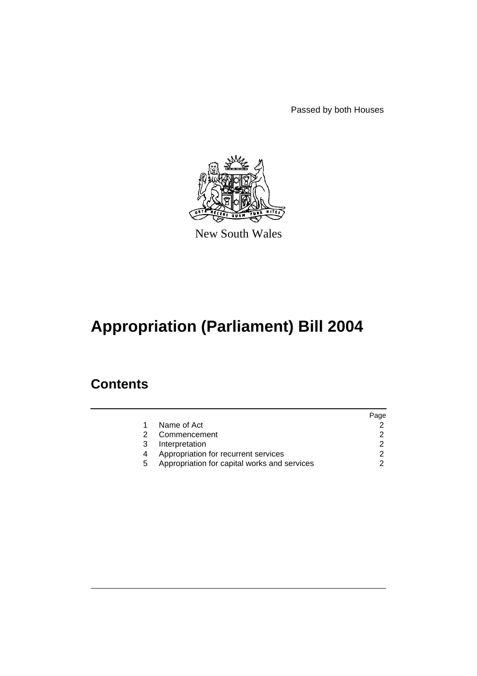Passed by both Houses



New South Wales

# **Appropriation (Parliament) Bill 2004**

### **Contents**

|   |                                              | Page |
|---|----------------------------------------------|------|
|   | Name of Act                                  |      |
|   | Commencement                                 |      |
| 3 | Interpretation                               |      |
|   | Appropriation for recurrent services         |      |
| 5 | Appropriation for capital works and services |      |
|   |                                              |      |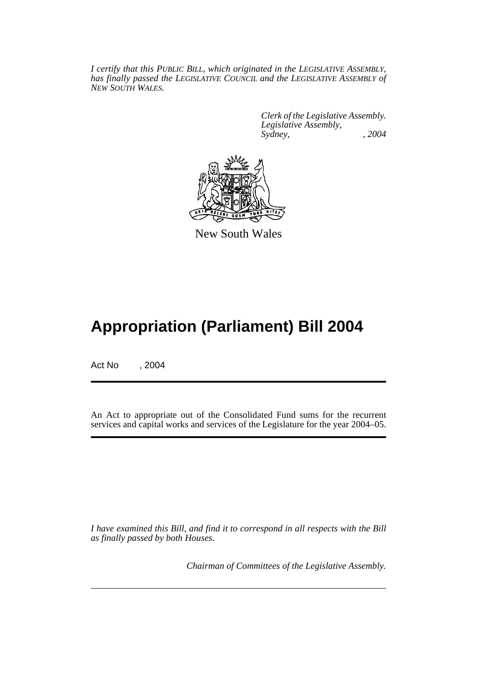*I certify that this PUBLIC BILL, which originated in the LEGISLATIVE ASSEMBLY, has finally passed the LEGISLATIVE COUNCIL and the LEGISLATIVE ASSEMBLY of NEW SOUTH WALES.*

> *Clerk of the Legislative Assembly. Legislative Assembly, Sydney, , 2004*



New South Wales

## **Appropriation (Parliament) Bill 2004**

Act No , 2004

An Act to appropriate out of the Consolidated Fund sums for the recurrent services and capital works and services of the Legislature for the year 2004–05.

*I have examined this Bill, and find it to correspond in all respects with the Bill as finally passed by both Houses.*

*Chairman of Committees of the Legislative Assembly.*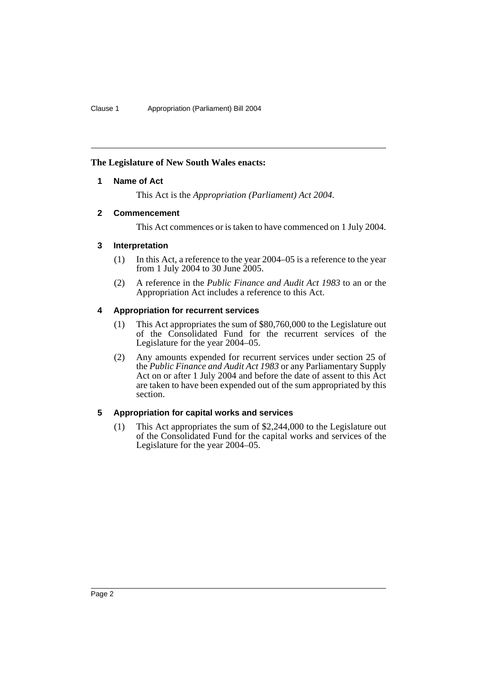#### **The Legislature of New South Wales enacts:**

#### **1 Name of Act**

This Act is the *Appropriation (Parliament) Act 2004*.

#### **2 Commencement**

This Act commences or is taken to have commenced on 1 July 2004.

#### **3 Interpretation**

- (1) In this Act, a reference to the year 2004–05 is a reference to the year from 1 July 2004 to 30 June 2005.
- (2) A reference in the *Public Finance and Audit Act 1983* to an or the Appropriation Act includes a reference to this Act.

#### **4 Appropriation for recurrent services**

- (1) This Act appropriates the sum of \$80,760,000 to the Legislature out of the Consolidated Fund for the recurrent services of the Legislature for the year 2004–05.
- (2) Any amounts expended for recurrent services under section 25 of the *Public Finance and Audit Act 1983* or any Parliamentary Supply Act on or after 1 July 2004 and before the date of assent to this Act are taken to have been expended out of the sum appropriated by this section.

#### **5 Appropriation for capital works and services**

(1) This Act appropriates the sum of \$2,244,000 to the Legislature out of the Consolidated Fund for the capital works and services of the Legislature for the year 2004–05.